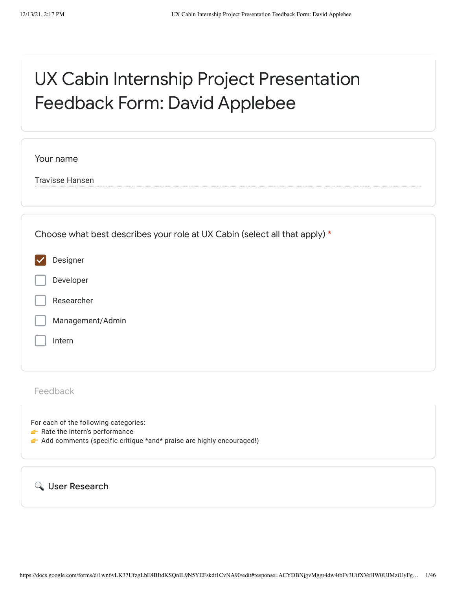# UX Cabin Internship Project Presentation Feedback Form: David Applebee

| Your name                                                                  |
|----------------------------------------------------------------------------|
| <b>Travisse Hansen</b>                                                     |
|                                                                            |
| Choose what best describes your role at UX Cabin (select all that apply) * |
| Designer                                                                   |
| Developer                                                                  |
| Researcher                                                                 |
| Management/Admin                                                           |
| Intern                                                                     |
|                                                                            |
| Feedback                                                                   |
| For each of the following categories:                                      |

- $\blacktriangleright$  Rate the intern's performance
- Add comments (specific critique \*and\* praise are highly encouraged!)

User Research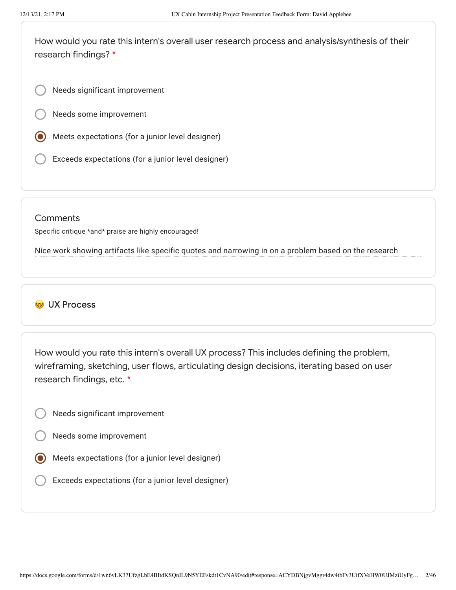How would you rate this intern's overall user research process and analysis/synthesis of their research findings? \*

Needs significant improvement

Needs some improvement

- Meets expectations (for a junior level designer)
- Exceeds expectations (for a junior level designer)

#### **Comments**

Specific critique \*and\* praise are highly encouraged!

Nice work showing artifacts like specific quotes and narrowing in on a problem based on the research

### **CO** UX Process

How would you rate this intern's overall UX process? This includes defining the problem, wireframing, sketching, user flows, articulating design decisions, iterating based on user research findings, etc. \*

- Needs significant improvement
- Needs some improvement
- Meets expectations (for a junior level designer)
- Exceeds expectations (for a junior level designer)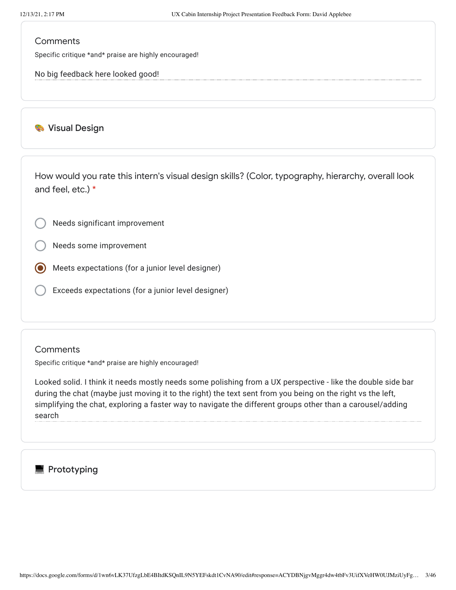Specific critique \*and\* praise are highly encouraged!

No big feedback here looked good!

#### **Wisual Design**

How would you rate this intern's visual design skills? (Color, typography, hierarchy, overall look and feel, etc.) \*

Needs significant improvement

Needs some improvement

Meets expectations (for a junior level designer)

Exceeds expectations (for a junior level designer)

#### **Comments**

Specific critique \*and\* praise are highly encouraged!

Looked solid. I think it needs mostly needs some polishing from a UX perspective - like the double side bar during the chat (maybe just moving it to the right) the text sent from you being on the right vs the left, simplifying the chat, exploring a faster way to navigate the different groups other than a carousel/adding search

# **Prototyping**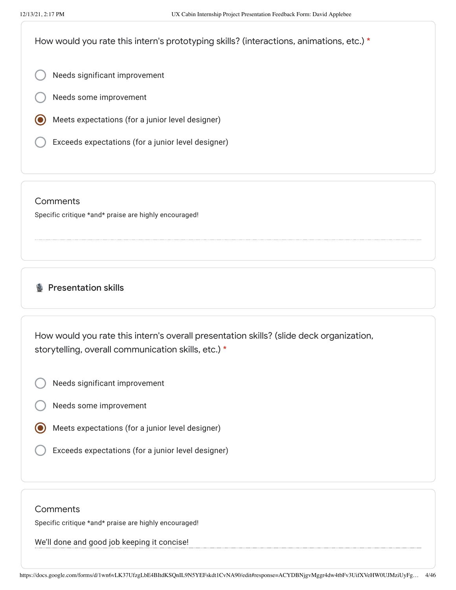How would you rate this intern's prototyping skills? (interactions, animations, etc.) \*

Needs significant improvement

- Needs some improvement
- Meets expectations (for a junior level designer)
- Exceeds expectations (for a junior level designer)

#### **Comments**

Specific critique \*and\* praise are highly encouraged!

# **B** Presentation skills

How would you rate this intern's overall presentation skills? (slide deck organization, storytelling, overall communication skills, etc.) \*

- Needs significant improvement
- Needs some improvement
- Meets expectations (for a junior level designer)
- Exceeds expectations (for a junior level designer)

#### **Comments**

Specific critique \*and\* praise are highly encouraged!

We'll done and good job keeping it concise!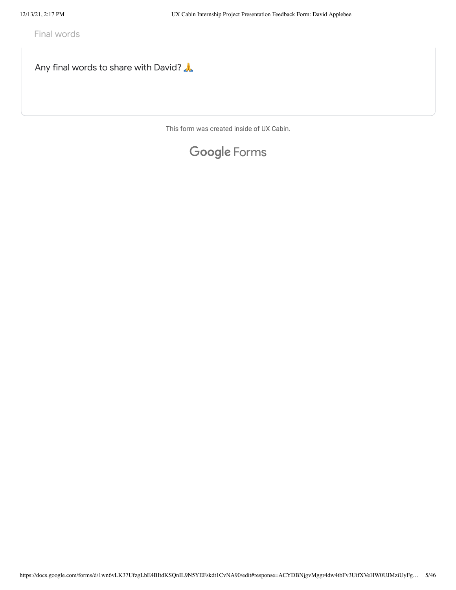Final words

Any final words to share with David?

This form was created inside of UX Cabin.

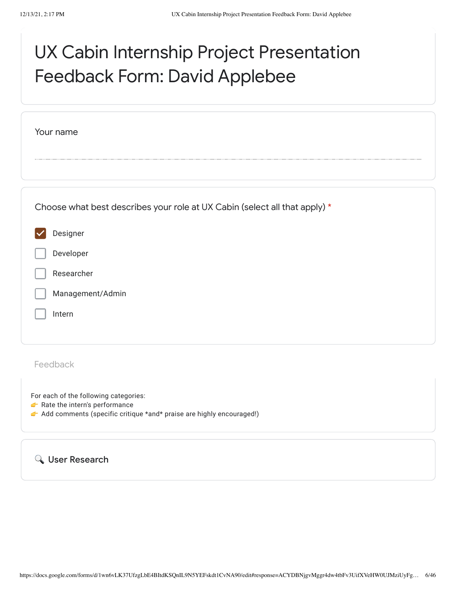# UX Cabin Internship Project Presentation Feedback Form: David Applebee

| Your name                                                                  |  |
|----------------------------------------------------------------------------|--|
|                                                                            |  |
|                                                                            |  |
|                                                                            |  |
| Choose what best describes your role at UX Cabin (select all that apply) * |  |
| Designer                                                                   |  |
| Developer                                                                  |  |
| Researcher                                                                 |  |
| Management/Admin                                                           |  |
| Intern                                                                     |  |
|                                                                            |  |
| Feedback                                                                   |  |
|                                                                            |  |
| For each of the following categories:                                      |  |

- Rate the intern's performance
- Add comments (specific critique \*and\* praise are highly encouraged!)

User Research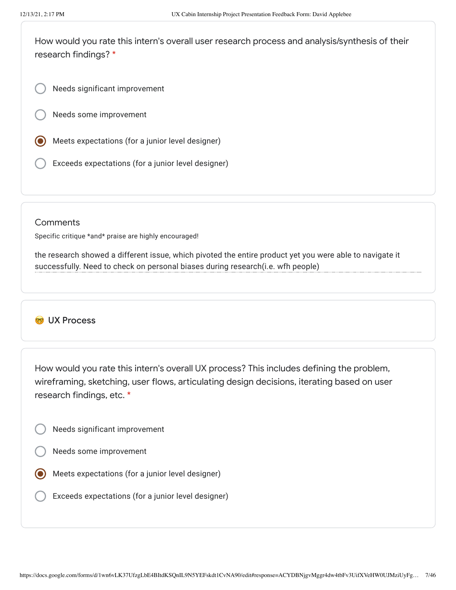How would you rate this intern's overall user research process and analysis/synthesis of their research findings? \*

Needs significant improvement

Needs some improvement

- Meets expectations (for a junior level designer)
- Exceeds expectations (for a junior level designer)

#### **Comments**

Specific critique \*and\* praise are highly encouraged!

the research showed a different issue, which pivoted the entire product yet you were able to navigate it successfully. Need to check on personal biases during research(i.e. wfh people)

# CO UX Process

How would you rate this intern's overall UX process? This includes defining the problem, wireframing, sketching, user flows, articulating design decisions, iterating based on user research findings, etc. \*

- Needs significant improvement
- Needs some improvement
- Meets expectations (for a junior level designer)
	- Exceeds expectations (for a junior level designer)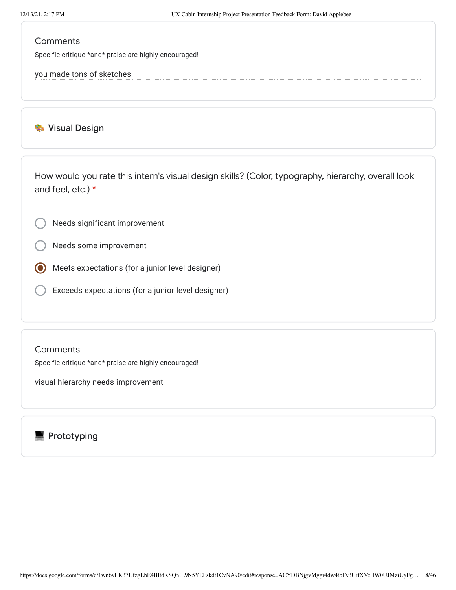Specific critique \*and\* praise are highly encouraged!

you made tons of sketches

**Wisual Design** 

How would you rate this intern's visual design skills? (Color, typography, hierarchy, overall look and feel, etc.) \*

Needs significant improvement

Needs some improvement

Meets expectations (for a junior level designer)

Exceeds expectations (for a junior level designer)

#### **Comments**

Specific critique \*and\* praise are highly encouraged!

visual hierarchy needs improvement

**Prototyping**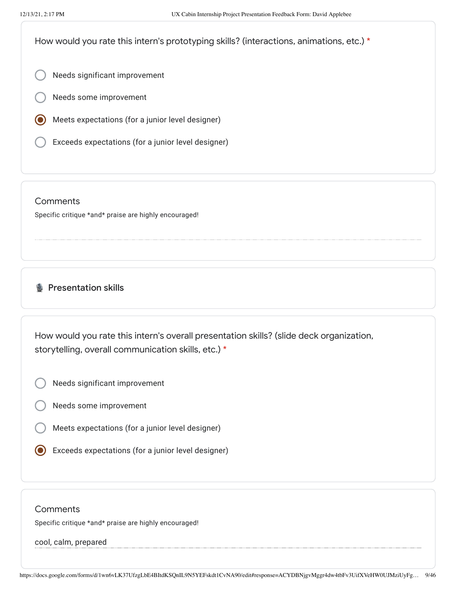How would you rate this intern's prototyping skills? (interactions, animations, etc.) \*

Needs significant improvement

- Needs some improvement
- Meets expectations (for a junior level designer)
- Exceeds expectations (for a junior level designer)

#### **Comments**

Specific critique \*and\* praise are highly encouraged!

# **B** Presentation skills

How would you rate this intern's overall presentation skills? (slide deck organization, storytelling, overall communication skills, etc.) \*

- Needs significant improvement
- Needs some improvement
- Meets expectations (for a junior level designer)
- Exceeds expectations (for a junior level designer)

#### **Comments**

Specific critique \*and\* praise are highly encouraged!

#### cool, calm, prepared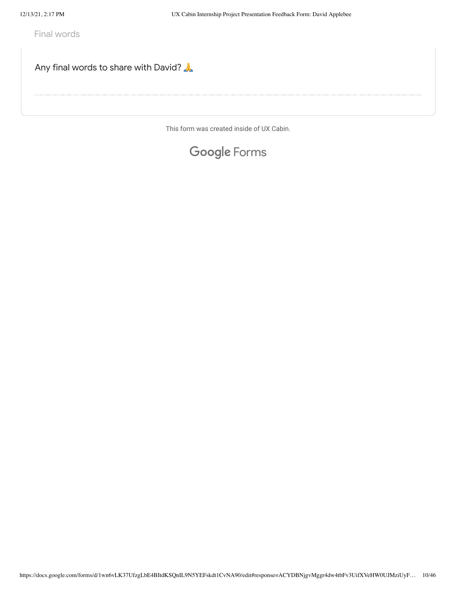Final words

Any final words to share with David?

This form was created inside of UX Cabin.

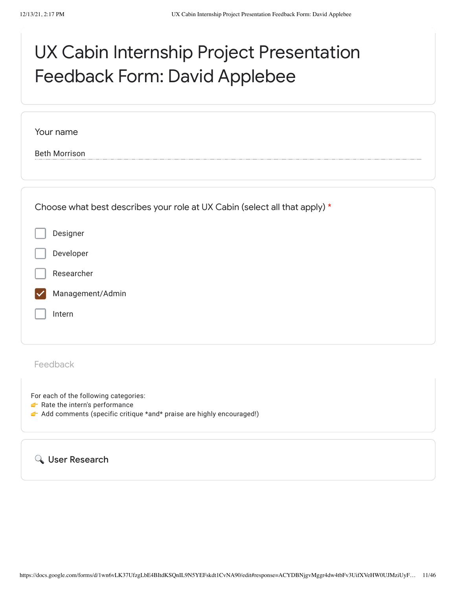# UX Cabin Internship Project Presentation Feedback Form: David Applebee

| Your name                                                                                             |
|-------------------------------------------------------------------------------------------------------|
| <b>Beth Morrison</b>                                                                                  |
|                                                                                                       |
|                                                                                                       |
| Choose what best describes your role at UX Cabin (select all that apply) *                            |
| Designer                                                                                              |
| Developer                                                                                             |
| Researcher                                                                                            |
| Management/Admin                                                                                      |
| Intern                                                                                                |
|                                                                                                       |
|                                                                                                       |
| Feedback                                                                                              |
| For each of the following categories:                                                                 |
| Rate the intern's performance<br>Add comments (specific critique *and* praise are highly encouraged!) |
|                                                                                                       |
|                                                                                                       |

User Research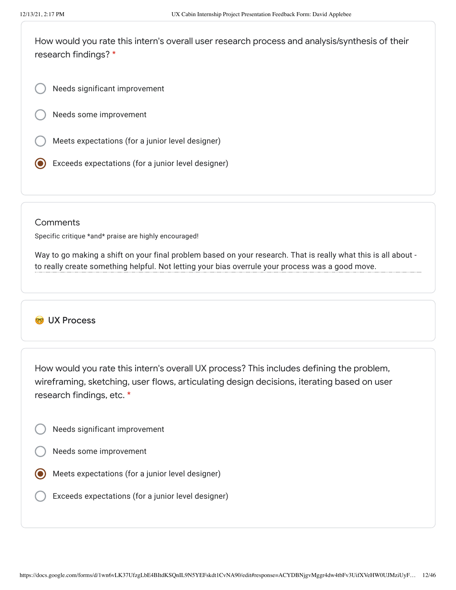How would you rate this intern's overall user research process and analysis/synthesis of their research findings? \*

Needs significant improvement

Needs some improvement

- Meets expectations (for a junior level designer)
- Exceeds expectations (for a junior level designer)

#### **Comments**

Specific critique \*and\* praise are highly encouraged!

Way to go making a shift on your final problem based on your research. That is really what this is all about to really create something helpful. Not letting your bias overrule your process was a good move.

### CO UX Process

How would you rate this intern's overall UX process? This includes defining the problem, wireframing, sketching, user flows, articulating design decisions, iterating based on user research findings, etc. \*

- Needs significant improvement
- Needs some improvement
- Meets expectations (for a junior level designer)
	- Exceeds expectations (for a junior level designer)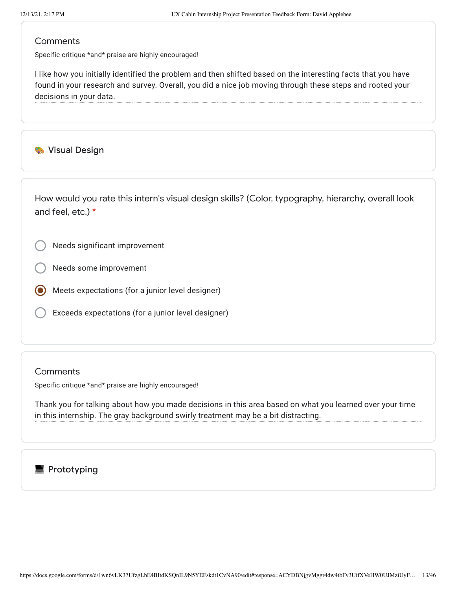Specific critique \*and\* praise are highly encouraged!

I like how you initially identified the problem and then shifted based on the interesting facts that you have found in your research and survey. Overall, you did a nice job moving through these steps and rooted your decisions in your data.

**Wisual Design** 

How would you rate this intern's visual design skills? (Color, typography, hierarchy, overall look and feel, etc.) \*

Needs significant improvement

Needs some improvement

- Meets expectations (for a junior level designer)
- Exceeds expectations (for a junior level designer)

#### **Comments**

Specific critique \*and\* praise are highly encouraged!

Thank you for talking about how you made decisions in this area based on what you learned over your time in this internship. The gray background swirly treatment may be a bit distracting.

### $\blacksquare$  Prototyping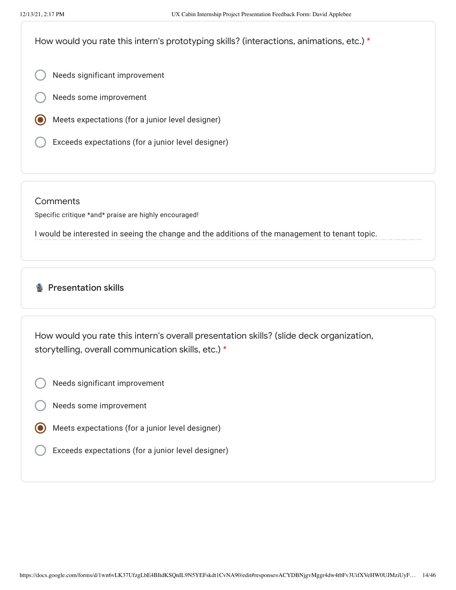How would you rate this intern's prototyping skills? (interactions, animations, etc.) \*

- Needs significant improvement
- Needs some improvement
- Meets expectations (for a junior level designer)
- Exceeds expectations (for a junior level designer)

**Comments** 

Specific critique \*and\* praise are highly encouraged!

I would be interested in seeing the change and the additions of the management to tenant topic.

# **Presentation skills**

How would you rate this intern's overall presentation skills? (slide deck organization, storytelling, overall communication skills, etc.) \*

- Needs significant improvement
- Needs some improvement
- Meets expectations (for a junior level designer)
- Exceeds expectations (for a junior level designer)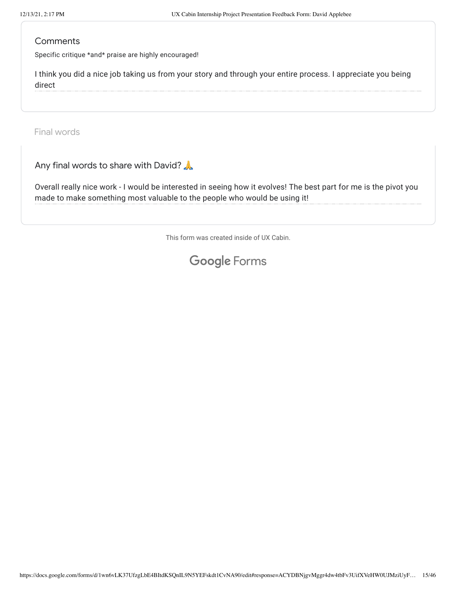Specific critique \*and\* praise are highly encouraged!

I think you did a nice job taking us from your story and through your entire process. I appreciate you being direct

Final words

Any final words to share with David?

Overall really nice work - I would be interested in seeing how it evolves! The best part for me is the pivot you made to make something most valuable to the people who would be using it!

This form was created inside of UX Cabin.

# Google [Forms](https://www.google.com/forms/about/?utm_source=product&utm_medium=forms_logo&utm_campaign=forms)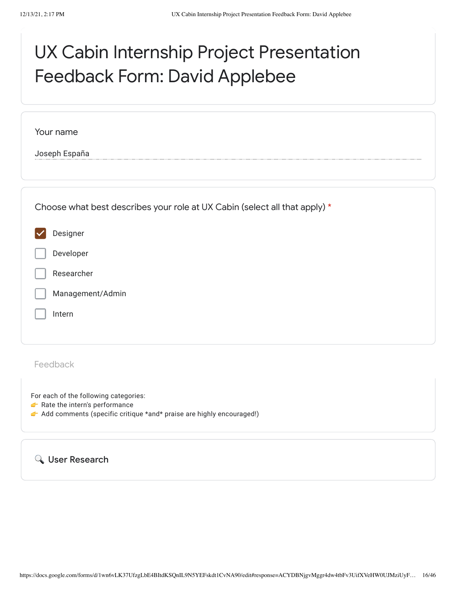# UX Cabin Internship Project Presentation Feedback Form: David Applebee

Your name

Joseph España

| Choose what best describes your role at UX Cabin (select all that apply) * |
|----------------------------------------------------------------------------|
| Designer                                                                   |
| Developer                                                                  |
| Researcher                                                                 |
| Management/Admin                                                           |
| Intern                                                                     |
|                                                                            |

Feedback

For each of the following categories:

- Rate the intern's performance
- Add comments (specific critique \*and\* praise are highly encouraged!)

User Research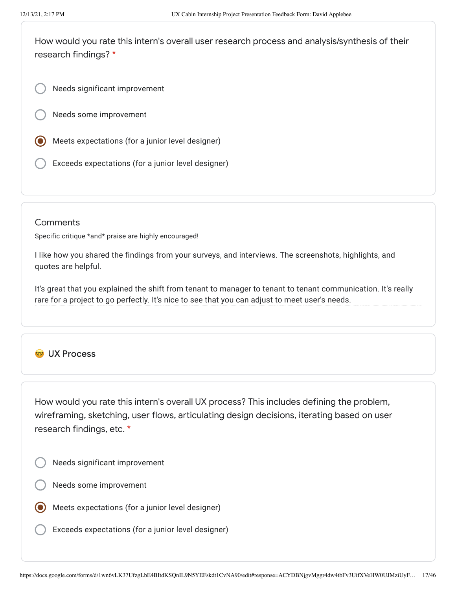How would you rate this intern's overall user research process and analysis/synthesis of their research findings? \*

Needs significant improvement

Needs some improvement

- Meets expectations (for a junior level designer)
- Exceeds expectations (for a junior level designer)

#### **Comments**

Specific critique \*and\* praise are highly encouraged!

I like how you shared the findings from your surveys, and interviews. The screenshots, highlights, and quotes are helpful.

It's great that you explained the shift from tenant to manager to tenant to tenant communication. It's really rare for a project to go perfectly. It's nice to see that you can adjust to meet user's needs.

# **CO** UX Process

How would you rate this intern's overall UX process? This includes defining the problem, wireframing, sketching, user flows, articulating design decisions, iterating based on user research findings, etc. \*

- Needs significant improvement
- Needs some improvement
- Meets expectations (for a junior level designer)
- Exceeds expectations (for a junior level designer)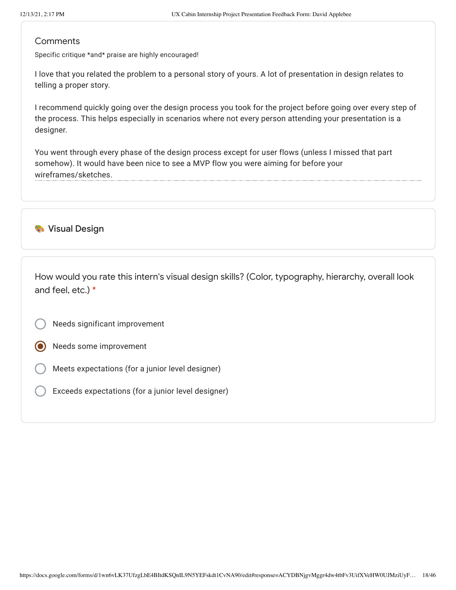Specific critique \*and\* praise are highly encouraged!

I love that you related the problem to a personal story of yours. A lot of presentation in design relates to telling a proper story.

I recommend quickly going over the design process you took for the project before going over every step of the process. This helps especially in scenarios where not every person attending your presentation is a designer.

You went through every phase of the design process except for user flows (unless I missed that part somehow). It would have been nice to see a MVP flow you were aiming for before your wireframes/sketches.

### **Wisual Design**

How would you rate this intern's visual design skills? (Color, typography, hierarchy, overall look and feel, etc.) \*

- Needs significant improvement
- Needs some improvement
- Meets expectations (for a junior level designer)
- Exceeds expectations (for a junior level designer)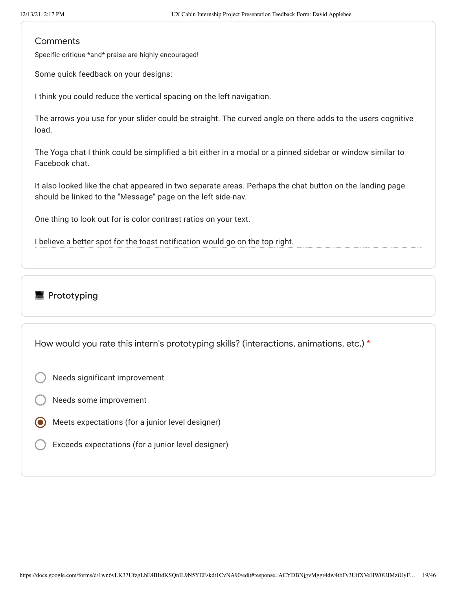Specific critique \*and\* praise are highly encouraged!

Some quick feedback on your designs:

I think you could reduce the vertical spacing on the left navigation.

The arrows you use for your slider could be straight. The curved angle on there adds to the users cognitive load.

The Yoga chat I think could be simplified a bit either in a modal or a pinned sidebar or window similar to Facebook chat.

It also looked like the chat appeared in two separate areas. Perhaps the chat button on the landing page should be linked to the "Message" page on the left side-nav.

One thing to look out for is color contrast ratios on your text.

I believe a better spot for the toast notification would go on the top right.

# **Prototyping**

How would you rate this intern's prototyping skills? (interactions, animations, etc.) \*

- Needs significant improvement
- Needs some improvement
- Meets expectations (for a junior level designer)
- Exceeds expectations (for a junior level designer)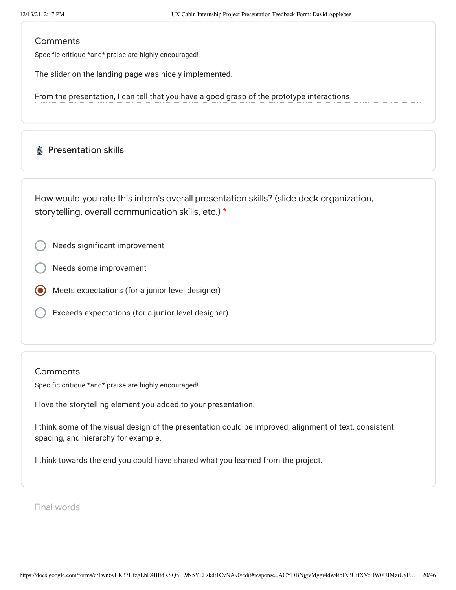Specific critique \*and\* praise are highly encouraged!

The slider on the landing page was nicely implemented.

From the presentation, I can tell that you have a good grasp of the prototype interactions.

### **B** Presentation skills

How would you rate this intern's overall presentation skills? (slide deck organization, storytelling, overall communication skills, etc.) \*

Needs significant improvement

Needs some improvement

Meets expectations (for a junior level designer)

Exceeds expectations (for a junior level designer)

#### **Comments**

Specific critique \*and\* praise are highly encouraged!

I love the storytelling element you added to your presentation.

I think some of the visual design of the presentation could be improved; alignment of text, consistent spacing, and hierarchy for example.

I think towards the end you could have shared what you learned from the project.

Final words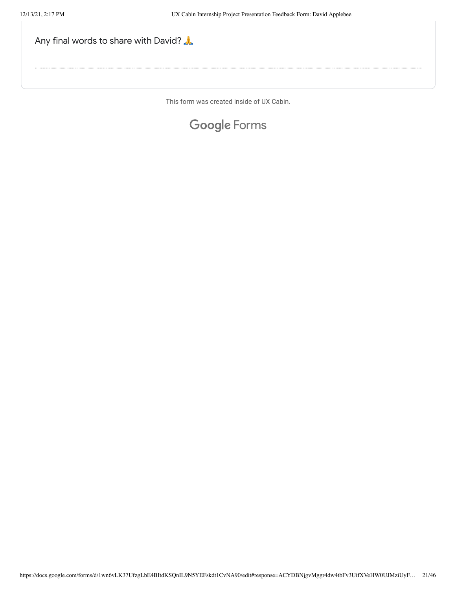

This form was created inside of UX Cabin.

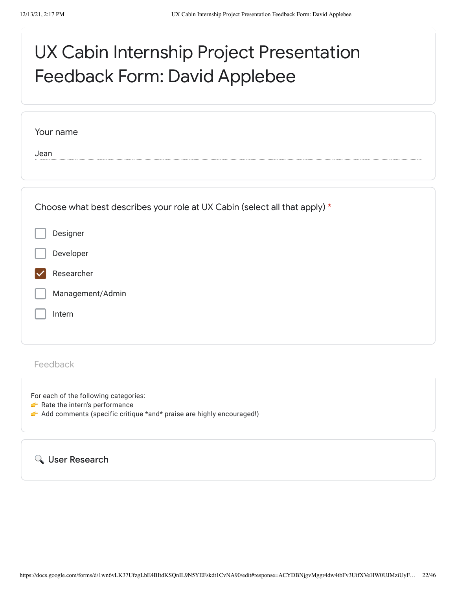# UX Cabin Internship Project Presentation Feedback Form: David Applebee

| Your name                                                                  |
|----------------------------------------------------------------------------|
| Jean                                                                       |
|                                                                            |
| Choose what best describes your role at UX Cabin (select all that apply) * |
| Designer                                                                   |
| Developer                                                                  |
| Researcher                                                                 |
| Management/Admin                                                           |
| Intern                                                                     |
|                                                                            |
| Feedback                                                                   |

For each of the following categories:

- Rate the intern's performance
- Add comments (specific critique \*and\* praise are highly encouraged!)

User Research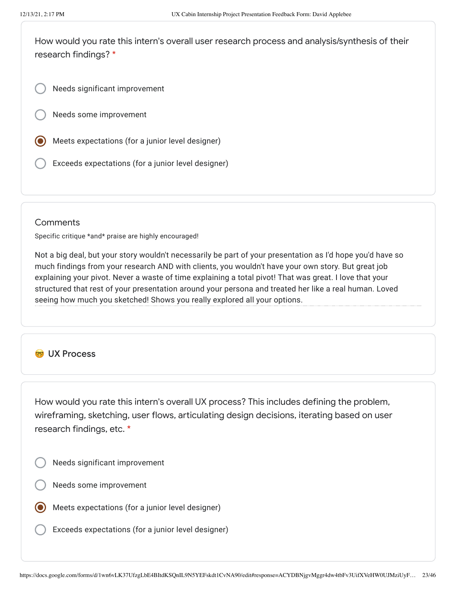How would you rate this intern's overall user research process and analysis/synthesis of their research findings? \*

Needs significant improvement

Needs some improvement

- Meets expectations (for a junior level designer)
- Exceeds expectations (for a junior level designer)

#### **Comments**

Specific critique \*and\* praise are highly encouraged!

Not a big deal, but your story wouldn't necessarily be part of your presentation as I'd hope you'd have so much findings from your research AND with clients, you wouldn't have your own story. But great job explaining your pivot. Never a waste of time explaining a total pivot! That was great. I love that your structured that rest of your presentation around your persona and treated her like a real human. Loved seeing how much you sketched! Shows you really explored all your options.

# **CO** UX Process

How would you rate this intern's overall UX process? This includes defining the problem, wireframing, sketching, user flows, articulating design decisions, iterating based on user research findings, etc. \*

- Needs significant improvement
- Needs some improvement
- Meets expectations (for a junior level designer)
- Exceeds expectations (for a junior level designer)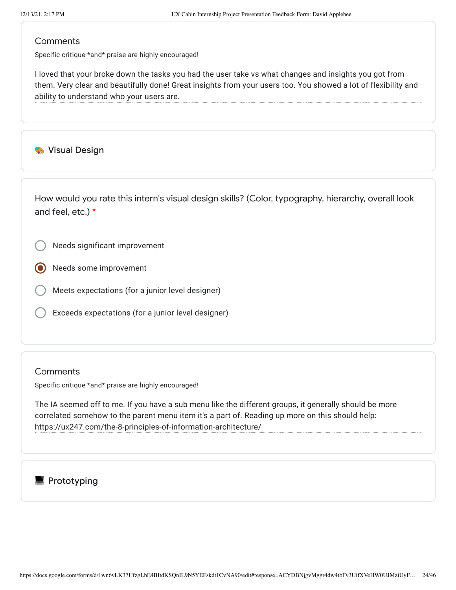Specific critique \*and\* praise are highly encouraged!

I loved that your broke down the tasks you had the user take vs what changes and insights you got from them. Very clear and beautifully done! Great insights from your users too. You showed a lot of flexibility and ability to understand who your users are.

**Wisual Design** 

How would you rate this intern's visual design skills? (Color, typography, hierarchy, overall look and feel, etc.) \*

Needs significant improvement

Needs some improvement

- Meets expectations (for a junior level designer)
- Exceeds expectations (for a junior level designer)

#### **Comments**

Specific critique \*and\* praise are highly encouraged!

The IA seemed off to me. If you have a sub menu like the different groups, it generally should be more correlated somehow to the parent menu item it's a part of. Reading up more on this should help: https://ux247.com/the-8-principles-of-information-architecture/

# $\blacksquare$  Prototyping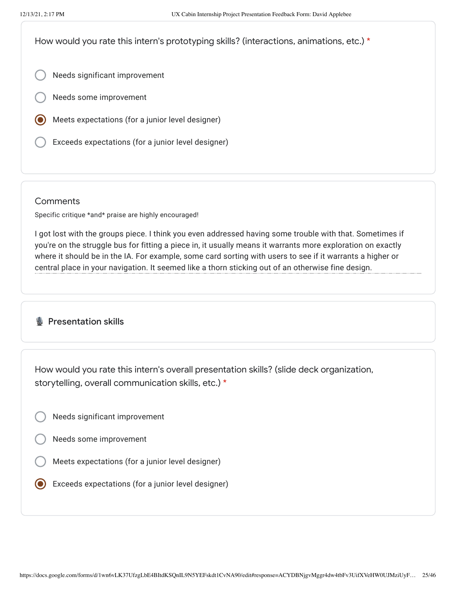How would you rate this intern's prototyping skills? (interactions, animations, etc.) \*

- Needs significant improvement
- Needs some improvement
- Meets expectations (for a junior level designer)
- Exceeds expectations (for a junior level designer)

#### **Comments**

Specific critique \*and\* praise are highly encouraged!

I got lost with the groups piece. I think you even addressed having some trouble with that. Sometimes if you're on the struggle bus for fitting a piece in, it usually means it warrants more exploration on exactly where it should be in the IA. For example, some card sorting with users to see if it warrants a higher or central place in your navigation. It seemed like a thorn sticking out of an otherwise fine design.

# **B** Presentation skills

How would you rate this intern's overall presentation skills? (slide deck organization, storytelling, overall communication skills, etc.) \*

- Needs significant improvement
- Needs some improvement
- Meets expectations (for a junior level designer)
- Exceeds expectations (for a junior level designer)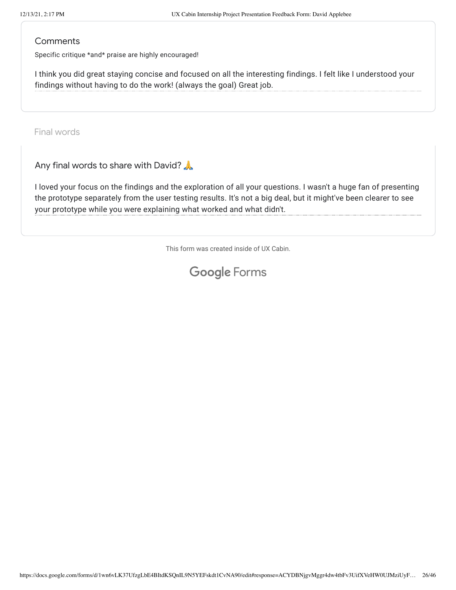Specific critique \*and\* praise are highly encouraged!

I think you did great staying concise and focused on all the interesting findings. I felt like I understood your findings without having to do the work! (always the goal) Great job.

Final words

Any final words to share with David?

I loved your focus on the findings and the exploration of all your questions. I wasn't a huge fan of presenting the prototype separately from the user testing results. It's not a big deal, but it might've been clearer to see your prototype while you were explaining what worked and what didn't.

This form was created inside of UX Cabin.

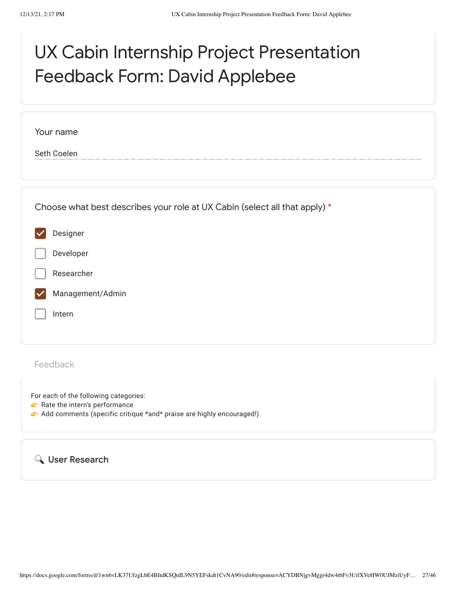# UX Cabin Internship Project Presentation Feedback Form: David Applebee

| Your name   |                                                                            |
|-------------|----------------------------------------------------------------------------|
| Seth Coelen |                                                                            |
|             |                                                                            |
|             |                                                                            |
|             | Choose what best describes your role at UX Cabin (select all that apply) * |
| Designer    |                                                                            |
|             | Developer                                                                  |
|             | Researcher                                                                 |
|             | Management/Admin                                                           |
| Intern      |                                                                            |
|             |                                                                            |
| Feedback    |                                                                            |
|             |                                                                            |
|             | For each of the following categories:<br>Rate the intern's performance     |
|             | Add comments (specific critique *and* praise are highly encouraged!)       |
|             |                                                                            |

User Research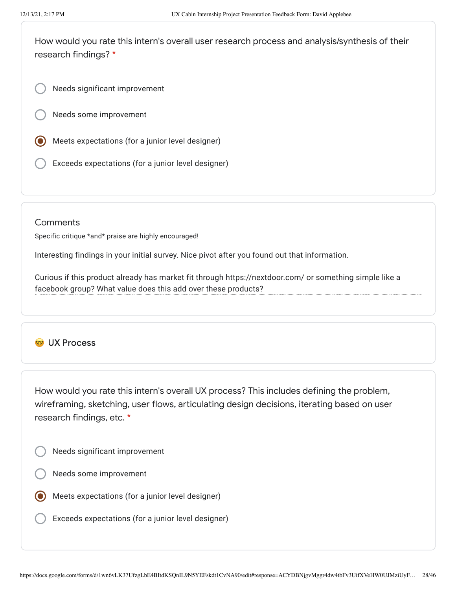How would you rate this intern's overall user research process and analysis/synthesis of their research findings? \*

Needs significant improvement

Needs some improvement

- Meets expectations (for a junior level designer)
- Exceeds expectations (for a junior level designer)

#### **Comments**

Specific critique \*and\* praise are highly encouraged!

Interesting findings in your initial survey. Nice pivot after you found out that information.

Curious if this product already has market fit through https://nextdoor.com/ or something simple like a facebook group? What value does this add over these products?

# **CO** UX Process

How would you rate this intern's overall UX process? This includes defining the problem, wireframing, sketching, user flows, articulating design decisions, iterating based on user research findings, etc. \*

- Needs significant improvement
- Needs some improvement
- Meets expectations (for a junior level designer)
- Exceeds expectations (for a junior level designer)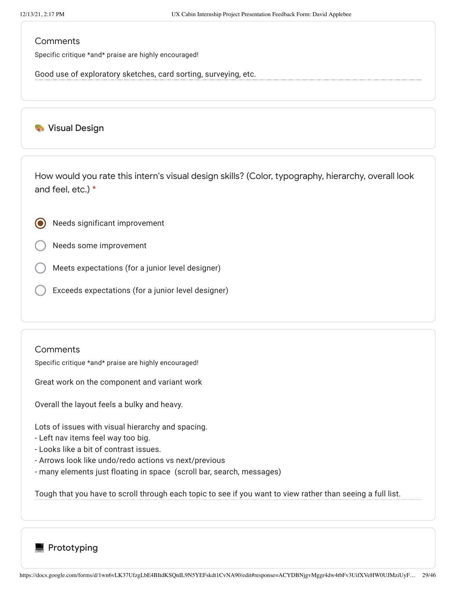Specific critique \*and\* praise are highly encouraged!

Good use of exploratory sketches, card sorting, surveying, etc.

### **Wisual Design**

How would you rate this intern's visual design skills? (Color, typography, hierarchy, overall look and feel, etc.) \*

- Needs significant improvement
- Needs some improvement
- Meets expectations (for a junior level designer)
- Exceeds expectations (for a junior level designer)

#### **Comments**

Specific critique \*and\* praise are highly encouraged!

Great work on the component and variant work

Overall the layout feels a bulky and heavy.

Lots of issues with visual hierarchy and spacing.

- Left nav items feel way too big.
- Looks like a bit of contrast issues.
- Arrows look like undo/redo actions vs next/previous
- many elements just floating in space (scroll bar, search, messages)

Tough that you have to scroll through each topic to see if you want to view rather than seeing a full list.

**Prototyping**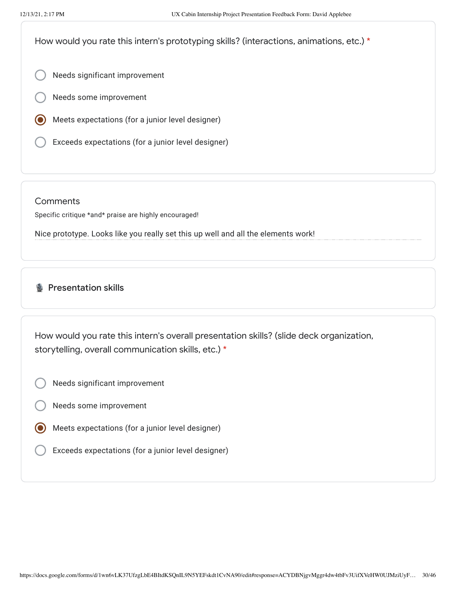How would you rate this intern's prototyping skills? (interactions, animations, etc.) \*

- Needs significant improvement
- Needs some improvement
- Meets expectations (for a junior level designer)
- Exceeds expectations (for a junior level designer)

**Comments** 

Specific critique \*and\* praise are highly encouraged!

Nice prototype. Looks like you really set this up well and all the elements work!

# **Presentation skills**

How would you rate this intern's overall presentation skills? (slide deck organization, storytelling, overall communication skills, etc.) \*

- Needs significant improvement
- Needs some improvement
- Meets expectations (for a junior level designer)
- Exceeds expectations (for a junior level designer)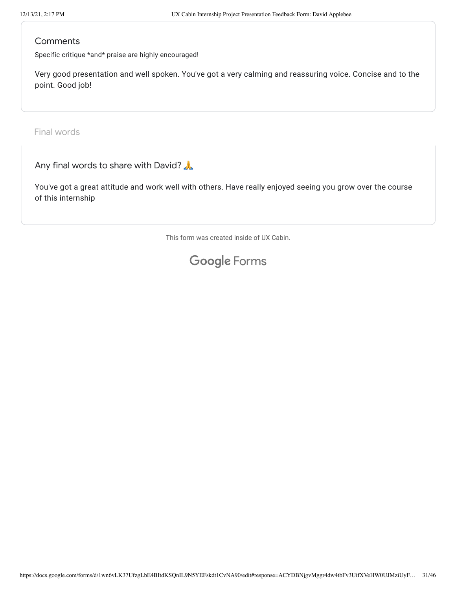Specific critique \*and\* praise are highly encouraged!

Very good presentation and well spoken. You've got a very calming and reassuring voice. Concise and to the point. Good job!

Final words

Any final words to share with David?

You've got a great attitude and work well with others. Have really enjoyed seeing you grow over the course of this internship

This form was created inside of UX Cabin.

# Google [Forms](https://www.google.com/forms/about/?utm_source=product&utm_medium=forms_logo&utm_campaign=forms)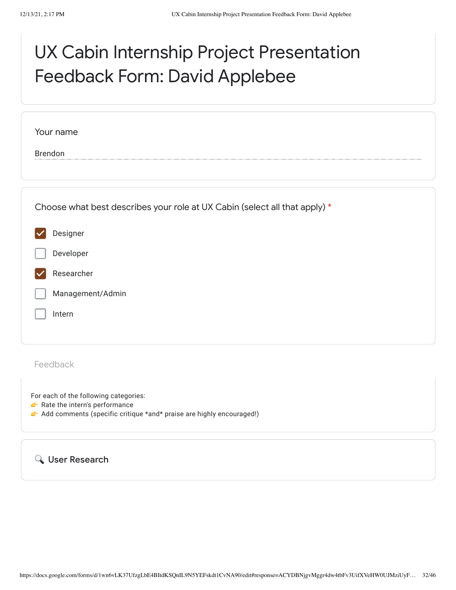# UX Cabin Internship Project Presentation Feedback Form: David Applebee

| Your name                                                                  |
|----------------------------------------------------------------------------|
| <b>Brendon</b>                                                             |
|                                                                            |
| Choose what best describes your role at UX Cabin (select all that apply) * |
| Designer                                                                   |
| Developer                                                                  |
| Researcher                                                                 |
| Management/Admin                                                           |
| Intern                                                                     |
|                                                                            |
| Feedback                                                                   |

For each of the following categories:

- Rate the intern's performance
- Add comments (specific critique \*and\* praise are highly encouraged!)

User Research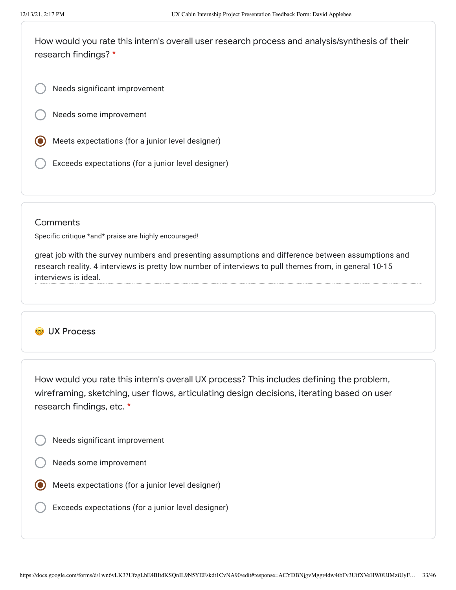How would you rate this intern's overall user research process and analysis/synthesis of their research findings? \*

Needs significant improvement

Needs some improvement

- Meets expectations (for a junior level designer)
- Exceeds expectations (for a junior level designer)

#### **Comments**

Specific critique \*and\* praise are highly encouraged!

great job with the survey numbers and presenting assumptions and difference between assumptions and research reality. 4 interviews is pretty low number of interviews to pull themes from, in general 10-15 interviews is ideal.

### **CO** UX Process

How would you rate this intern's overall UX process? This includes defining the problem, wireframing, sketching, user flows, articulating design decisions, iterating based on user research findings, etc. \*

- Needs significant improvement
- Needs some improvement
- Meets expectations (for a junior level designer)
	- Exceeds expectations (for a junior level designer)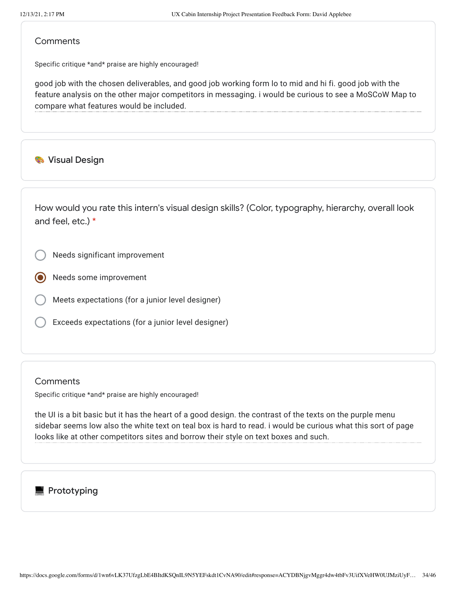Specific critique \*and\* praise are highly encouraged!

good job with the chosen deliverables, and good job working form lo to mid and hi fi. good job with the feature analysis on the other major competitors in messaging. i would be curious to see a MoSCoW Map to compare what features would be included.

### **Wisual Design**

How would you rate this intern's visual design skills? (Color, typography, hierarchy, overall look and feel, etc.) \*

- Needs significant improvement
- Needs some improvement
- Meets expectations (for a junior level designer)
- Exceeds expectations (for a junior level designer)

#### **Comments**

Specific critique \*and\* praise are highly encouraged!

the UI is a bit basic but it has the heart of a good design. the contrast of the texts on the purple menu sidebar seems low also the white text on teal box is hard to read. i would be curious what this sort of page looks like at other competitors sites and borrow their style on text boxes and such.

# **Prototyping**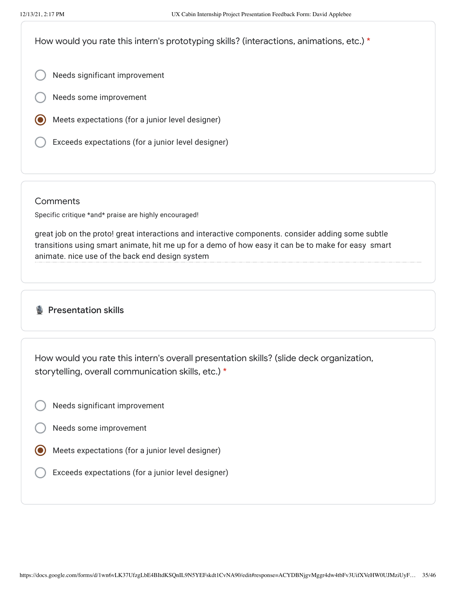How would you rate this intern's prototyping skills? (interactions, animations, etc.) \*

- Needs significant improvement
- Needs some improvement
- Meets expectations (for a junior level designer)
- Exceeds expectations (for a junior level designer)

#### **Comments**

Specific critique \*and\* praise are highly encouraged!

great job on the proto! great interactions and interactive components. consider adding some subtle transitions using smart animate, hit me up for a demo of how easy it can be to make for easy smart animate. nice use of the back end design system

# **Presentation skills**

How would you rate this intern's overall presentation skills? (slide deck organization, storytelling, overall communication skills, etc.) \*

- Needs significant improvement
- Needs some improvement
- Meets expectations (for a junior level designer)
	- Exceeds expectations (for a junior level designer)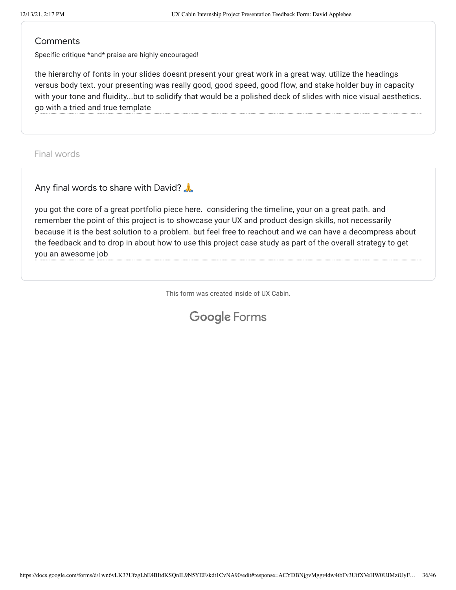Specific critique \*and\* praise are highly encouraged!

the hierarchy of fonts in your slides doesnt present your great work in a great way. utilize the headings versus body text. your presenting was really good, good speed, good flow, and stake holder buy in capacity with your tone and fluidity...but to solidify that would be a polished deck of slides with nice visual aesthetics. go with a tried and true template

Final words

Any final words to share with David?

you got the core of a great portfolio piece here. considering the timeline, your on a great path. and remember the point of this project is to showcase your UX and product design skills, not necessarily because it is the best solution to a problem. but feel free to reachout and we can have a decompress about the feedback and to drop in about how to use this project case study as part of the overall strategy to get you an awesome job

This form was created inside of UX Cabin.

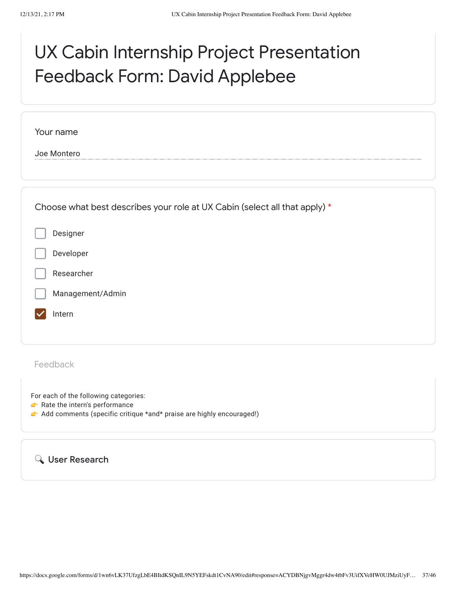# UX Cabin Internship Project Presentation Feedback Form: David Applebee

| Your name                                                                  |  |
|----------------------------------------------------------------------------|--|
| Joe Montero                                                                |  |
|                                                                            |  |
|                                                                            |  |
| Choose what best describes your role at UX Cabin (select all that apply) * |  |
| Designer                                                                   |  |
| Developer                                                                  |  |
| Researcher                                                                 |  |
| Management/Admin                                                           |  |
| Intern                                                                     |  |
|                                                                            |  |
| Feedback                                                                   |  |
|                                                                            |  |

For each of the following categories:

- Rate the intern's performance
- Add comments (specific critique \*and\* praise are highly encouraged!)

User Research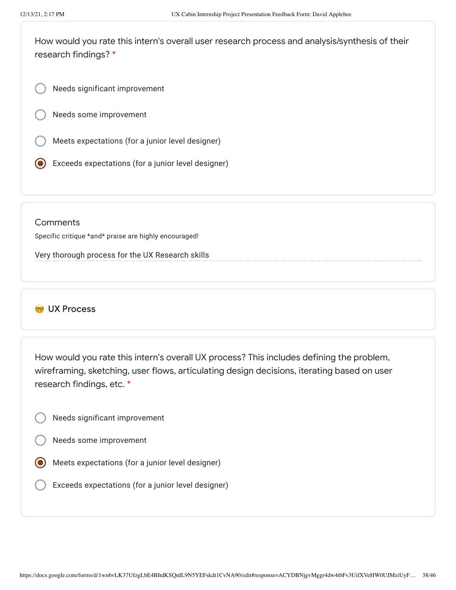How would you rate this intern's overall user research process and analysis/synthesis of their research findings? \*

Needs significant improvement

Needs some improvement

Meets expectations (for a junior level designer)

Exceeds expectations (for a junior level designer)

#### **Comments**

Specific critique \*and\* praise are highly encouraged!

Very thorough process for the UX Research skills

# **W** UX Process

How would you rate this intern's overall UX process? This includes defining the problem, wireframing, sketching, user flows, articulating design decisions, iterating based on user research findings, etc. \*

- Needs significant improvement
- Needs some improvement
- Meets expectations (for a junior level designer)
	- Exceeds expectations (for a junior level designer)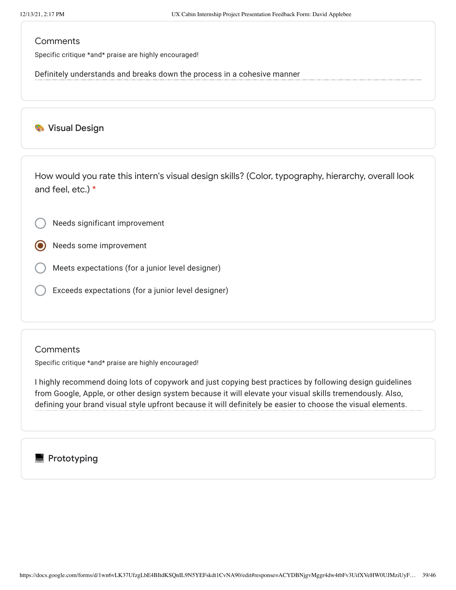Specific critique \*and\* praise are highly encouraged!

Definitely understands and breaks down the process in a cohesive manner

### **Wisual Design**

How would you rate this intern's visual design skills? (Color, typography, hierarchy, overall look and feel, etc.) \*

Needs significant improvement

Needs some improvement

Meets expectations (for a junior level designer)

Exceeds expectations (for a junior level designer)

#### **Comments**

Specific critique \*and\* praise are highly encouraged!

I highly recommend doing lots of copywork and just copying best practices by following design guidelines from Google, Apple, or other design system because it will elevate your visual skills tremendously. Also, defining your brand visual style upfront because it will definitely be easier to choose the visual elements.

# **Prototyping**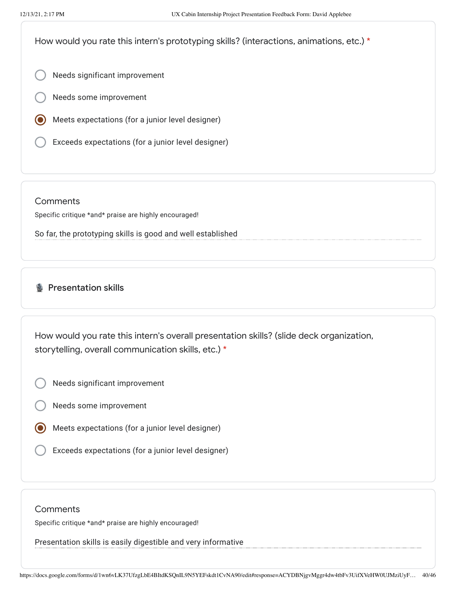How would you rate this intern's prototyping skills? (interactions, animations, etc.) \*

- Needs significant improvement
- Needs some improvement
- Meets expectations (for a junior level designer)
- Exceeds expectations (for a junior level designer)

#### **Comments**

Specific critique \*and\* praise are highly encouraged!

So far, the prototyping skills is good and well established

# **B** Presentation skills

How would you rate this intern's overall presentation skills? (slide deck organization, storytelling, overall communication skills, etc.) \*

- Needs significant improvement
- Needs some improvement
- Meets expectations (for a junior level designer)
- Exceeds expectations (for a junior level designer)

#### **Comments**

Specific critique \*and\* praise are highly encouraged!

Presentation skills is easily digestible and very informative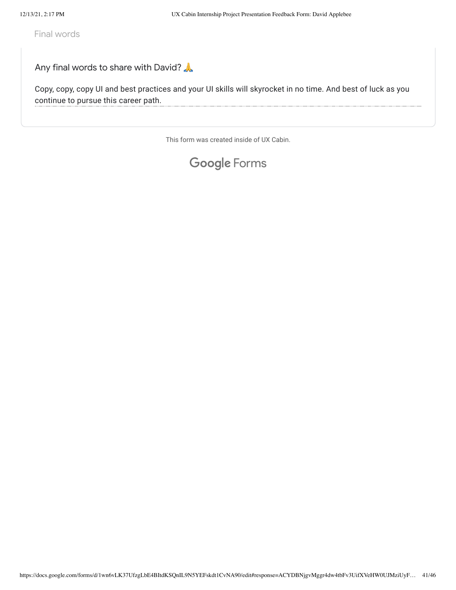Final words

# Any final words to share with David?

Copy, copy, copy UI and best practices and your UI skills will skyrocket in no time. And best of luck as you continue to pursue this career path.

This form was created inside of UX Cabin.

# Google [Forms](https://www.google.com/forms/about/?utm_source=product&utm_medium=forms_logo&utm_campaign=forms)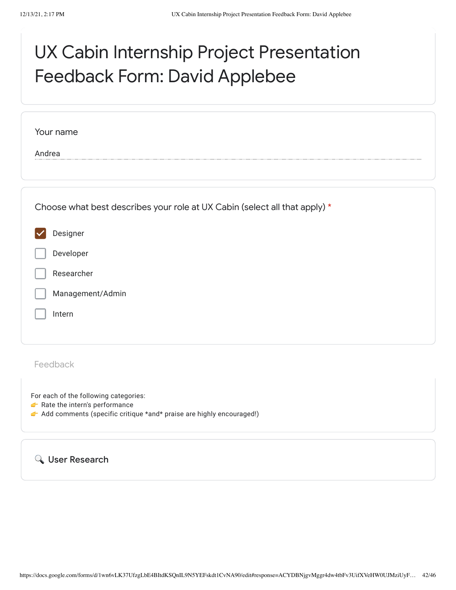# UX Cabin Internship Project Presentation Feedback Form: David Applebee

| Your name                                                                  |  |
|----------------------------------------------------------------------------|--|
| Andrea                                                                     |  |
|                                                                            |  |
| Choose what best describes your role at UX Cabin (select all that apply) * |  |
| Designer                                                                   |  |
| Developer                                                                  |  |
| Researcher                                                                 |  |
| Management/Admin                                                           |  |
| Intern                                                                     |  |
|                                                                            |  |
|                                                                            |  |

Feedback

For each of the following categories:

- Rate the intern's performance
- Add comments (specific critique \*and\* praise are highly encouraged!)

User Research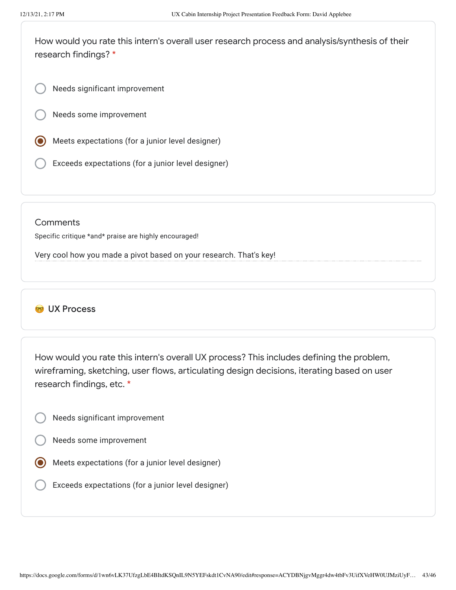How would you rate this intern's overall user research process and analysis/synthesis of their research findings? \*

Needs significant improvement

Needs some improvement

- Meets expectations (for a junior level designer)
- Exceeds expectations (for a junior level designer)

#### **Comments**

Specific critique \*and\* praise are highly encouraged!

Very cool how you made a pivot based on your research. That's key!

# **W** UX Process

How would you rate this intern's overall UX process? This includes defining the problem, wireframing, sketching, user flows, articulating design decisions, iterating based on user research findings, etc. \*

- Needs significant improvement
- Needs some improvement
- Meets expectations (for a junior level designer)
	- Exceeds expectations (for a junior level designer)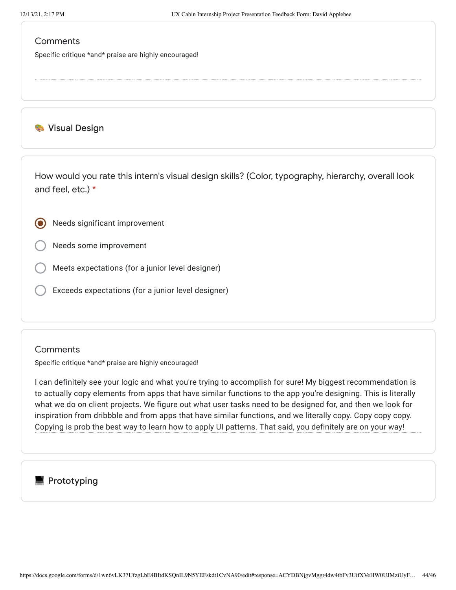Specific critique \*and\* praise are highly encouraged!

**Wisual Design** 

How would you rate this intern's visual design skills? (Color, typography, hierarchy, overall look and feel, etc.) \*

Needs significant improvement

Needs some improvement

Meets expectations (for a junior level designer)

Exceeds expectations (for a junior level designer)

#### **Comments**

Specific critique \*and\* praise are highly encouraged!

I can definitely see your logic and what you're trying to accomplish for sure! My biggest recommendation is to actually copy elements from apps that have similar functions to the app you're designing. This is literally what we do on client projects. We figure out what user tasks need to be designed for, and then we look for inspiration from dribbble and from apps that have similar functions, and we literally copy. Copy copy copy. Copying is prob the best way to learn how to apply UI patterns. That said, you definitely are on your way!

# $\blacksquare$  Prototyping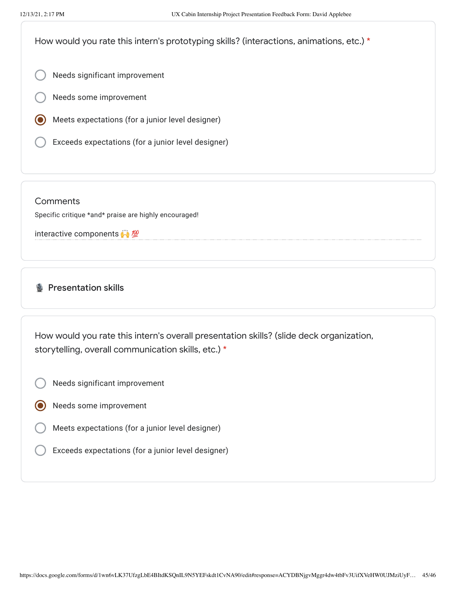How would you rate this intern's prototyping skills? (interactions, animations, etc.) \*

Needs significant improvement

- Needs some improvement
- Meets expectations (for a junior level designer)
- Exceeds expectations (for a junior level designer)

**Comments** 

Specific critique \*and\* praise are highly encouraged!

interactive components

**Presentation skills** 

How would you rate this intern's overall presentation skills? (slide deck organization, storytelling, overall communication skills, etc.) \*

- Needs significant improvement
- Needs some improvement
- Meets expectations (for a junior level designer)
- Exceeds expectations (for a junior level designer)